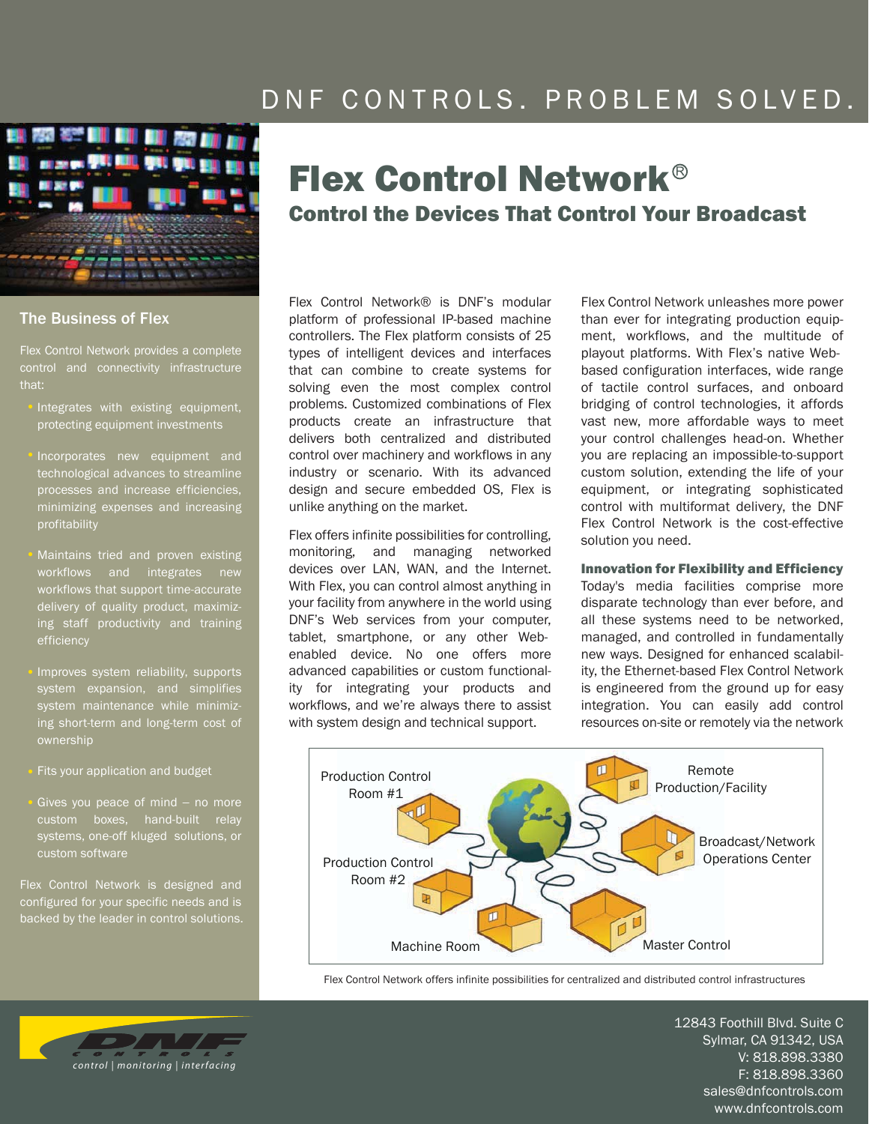## DNF CONTROLS. PROBLEM SOLVED.



## The Business of Flex

Flex Control Network provides a complete that:

- Integrates with existing equipment, protecting equipment investments
- Incorporates new equipment and technological advances to streamline processes and increase efficiencies, minimizing expenses and increasing profitability
- Maintains tried and proven existing workflows and integrates new workflows that support time-accurate ing staff productivity and training efficiency
- Improves system reliability, supports system expansion, and simplifies system maintenance while minimizing short-term and long-term cost of ownership
- Fits your application and budget
- Gives you peace of mind − no more custom boxes, hand-built relay systems, one-off kluged solutions, or custom software

Flex Control Network is designed and configured for your specific needs and is backed by the leader in control solutions.

# Flex Control Network Control the Devices That Control Your Broadcast

Flex Control Network® is DNF's modular platform of professional IP-based machine controllers. The Flex platform consists of 25 types of intelligent devices and interfaces that can combine to create systems for solving even the most complex control problems. Customized combinations of Flex products create an infrastructure that delivers both centralized and distributed control over machinery and workflows in any industry or scenario. With its advanced design and secure embedded OS, Flex is unlike anything on the market.

Flex offers infinite possibilities for controlling, monitoring, and managing networked devices over LAN, WAN, and the Internet. With Flex, you can control almost anything in your facility from anywhere in the world using DNF's Web services from your computer, tablet, smartphone, or any other Webenabled device. No one offers more advanced capabilities or custom functionality for integrating your products and workflows, and we're always there to assist with system design and technical support.

Flex Control Network unleashes more power than ever for integrating production equipment, workflows, and the multitude of playout platforms. With Flex's native Webbased configuration interfaces, wide range of tactile control surfaces, and onboard bridging of control technologies, it affords vast new, more affordable ways to meet your control challenges head-on. Whether you are replacing an impossible-to-support custom solution, extending the life of your equipment, or integrating sophisticated control with multiformat delivery, the DNF Flex Control Network is the cost-effective solution you need.

#### Innovation for Flexibility and Efficiency

Today's media facilities comprise more disparate technology than ever before, and all these systems need to be networked, managed, and controlled in fundamentally new ways. Designed for enhanced scalability, the Ethernet-based Flex Control Network is engineered from the ground up for easy integration. You can easily add control resources on-site or remotely via the network



Flex Control Network offers infinite possibilities for centralized and distributed control infrastructures

control | monitoring | interfacing

12843 Foothill Blvd. Suite C Sylmar, CA 91342, USA V: 818.898.3380 F: 818.898.3360 sales@dnfcontrols.com www.dnfcontrols.com